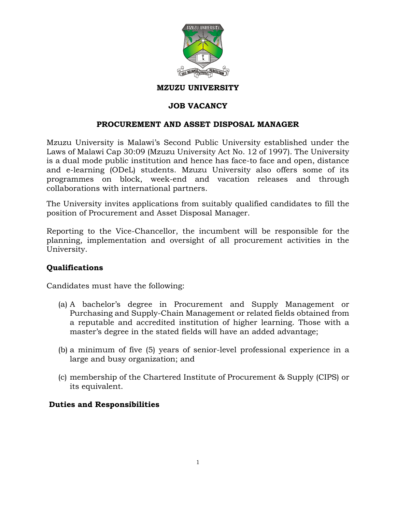

#### **MZUZU UNIVERSITY**

## **JOB VACANCY**

### **PROCUREMENT AND ASSET DISPOSAL MANAGER**

Mzuzu University is Malawi's Second Public University established under the Laws of Malawi Cap 30:09 (Mzuzu University Act No. 12 of 1997). The University is a dual mode public institution and hence has face-to face and open, distance and e-learning (ODeL) students. Mzuzu University also offers some of its programmes on block, week-end and vacation releases and through collaborations with international partners.

The University invites applications from suitably qualified candidates to fill the position of Procurement and Asset Disposal Manager.

Reporting to the Vice-Chancellor, the incumbent will be responsible for the planning, implementation and oversight of all procurement activities in the University.

### **Qualifications**

Candidates must have the following:

- (a) A bachelor's degree in Procurement and Supply Management or Purchasing and Supply-Chain Management or related fields obtained from a reputable and accredited institution of higher learning. Those with a master's degree in the stated fields will have an added advantage;
- (b) a minimum of five (5) years of senior-level professional experience in a large and busy organization; and
- (c) membership of the Chartered Institute of Procurement & Supply (CIPS) or its equivalent.

### **Duties and Responsibilities**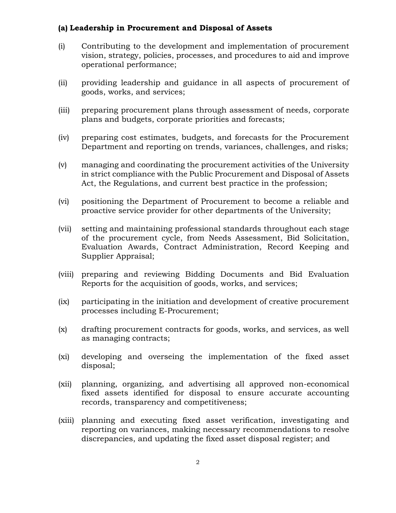#### **(a) Leadership in Procurement and Disposal of Assets**

- (i) Contributing to the development and implementation of procurement vision, strategy, policies, processes, and procedures to aid and improve operational performance;
- (ii) providing leadership and guidance in all aspects of procurement of goods, works, and services;
- (iii) preparing procurement plans through assessment of needs, corporate plans and budgets, corporate priorities and forecasts;
- (iv) preparing cost estimates, budgets, and forecasts for the Procurement Department and reporting on trends, variances, challenges, and risks;
- (v) managing and coordinating the procurement activities of the University in strict compliance with the Public Procurement and Disposal of Assets Act, the Regulations, and current best practice in the profession;
- (vi) positioning the Department of Procurement to become a reliable and proactive service provider for other departments of the University;
- (vii) setting and maintaining professional standards throughout each stage of the procurement cycle, from Needs Assessment, Bid Solicitation, Evaluation Awards, Contract Administration, Record Keeping and Supplier Appraisal;
- (viii) preparing and reviewing Bidding Documents and Bid Evaluation Reports for the acquisition of goods, works, and services;
- (ix) participating in the initiation and development of creative procurement processes including E-Procurement;
- (x) drafting procurement contracts for goods, works, and services, as well as managing contracts;
- (xi) developing and overseing the implementation of the fixed asset disposal;
- (xii) planning, organizing, and advertising all approved non-economical fixed assets identified for disposal to ensure accurate accounting records, transparency and competitiveness;
- (xiii) planning and executing fixed asset verification, investigating and reporting on variances, making necessary recommendations to resolve discrepancies, and updating the fixed asset disposal register; and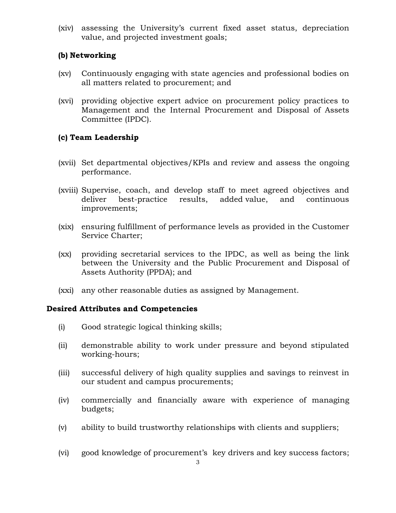(xiv) assessing the University's current fixed asset status, depreciation value, and projected investment goals;

# **(b) Networking**

- (xv) Continuously engaging with state agencies and professional bodies on all matters related to procurement; and
- (xvi) providing objective expert advice on procurement policy practices to Management and the Internal Procurement and Disposal of Assets Committee (IPDC).

# **(c) Team Leadership**

- (xvii) Set departmental objectives/KPIs and review and assess the ongoing performance.
- (xviii) Supervise, coach, and develop staff to meet agreed objectives and deliver best-practice results, added value, and continuous improvements;
- (xix) ensuring fulfillment of performance levels as provided in the Customer Service Charter;
- (xx) providing secretarial services to the IPDC, as well as being the link between the University and the Public Procurement and Disposal of Assets Authority (PPDA); and
- (xxi) any other reasonable duties as assigned by Management.

### **Desired Attributes and Competencies**

- (i) Good strategic logical thinking skills;
- (ii) demonstrable ability to work under pressure and beyond stipulated working-hours;
- (iii) successful delivery of high quality supplies and savings to reinvest in our student and campus procurements;
- (iv) commercially and financially aware with experience of managing budgets;
- (v) ability to build trustworthy relationships with clients and suppliers;
- (vi) good knowledge of procurement's key drivers and key success factors;